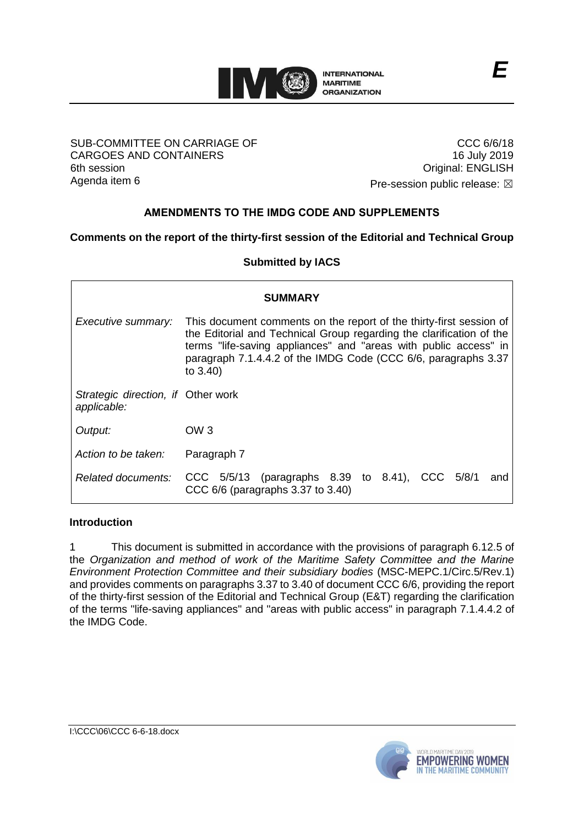

## SUB-COMMITTEE ON CARRIAGE OF CARGOES AND CONTAINERS 6th session Agenda item 6

CCC 6/6/18 16 July 2019 Original: ENGLISH Pre-session public release:  $\boxtimes$ 

**AMENDMENTS TO THE IMDG CODE AND SUPPLEMENTS**

**Comments on the report of the thirty-first session of the Editorial and Technical Group**

**Submitted by IACS**

| <b>SUMMARY</b>                                    |                                                                                                                                                                                                                                                                                                  |
|---------------------------------------------------|--------------------------------------------------------------------------------------------------------------------------------------------------------------------------------------------------------------------------------------------------------------------------------------------------|
| Executive summary:                                | This document comments on the report of the thirty-first session of<br>the Editorial and Technical Group regarding the clarification of the<br>terms "life-saving appliances" and "areas with public access" in<br>paragraph 7.1.4.4.2 of the IMDG Code (CCC 6/6, paragraphs 3.37<br>to $3.40$ ) |
| Strategic direction, if Other work<br>applicable: |                                                                                                                                                                                                                                                                                                  |
| Output:                                           | OW 3                                                                                                                                                                                                                                                                                             |
| Action to be taken:                               | Paragraph 7                                                                                                                                                                                                                                                                                      |
| Related documents:                                | CCC $5/5/13$ (paragraphs 8.39 to 8.41), CCC $5/8/1$<br>and<br>CCC 6/6 (paragraphs 3.37 to 3.40)                                                                                                                                                                                                  |

## **Introduction**

1 This document is submitted in accordance with the provisions of paragraph 6.12.5 of the *Organization and method of work of the Maritime Safety Committee and the Marine Environment Protection Committee and their subsidiary bodies* (MSC-MEPC.1/Circ.5/Rev.1) and provides comments on paragraphs 3.37 to 3.40 of document CCC 6/6, providing the report of the thirty-first session of the Editorial and Technical Group (E&T) regarding the clarification of the terms "life-saving appliances" and "areas with public access" in paragraph 7.1.4.4.2 of the IMDG Code.

I:\CCC\06\CCC 6-6-18.docx